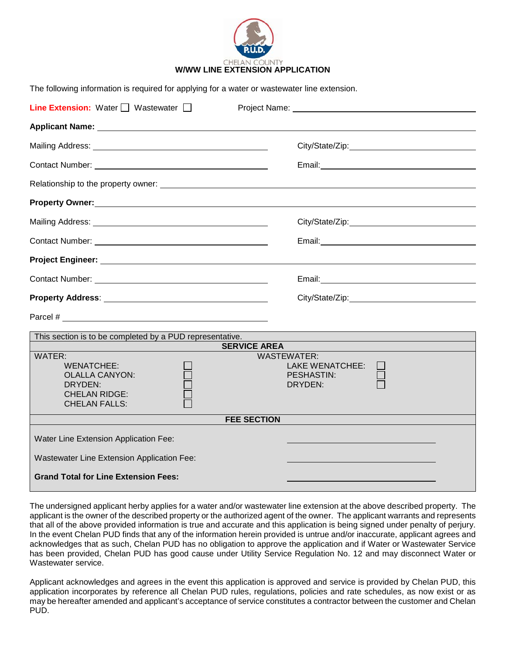

| The following information is required for applying for a water or wastewater line extension.                    |                                                                       |
|-----------------------------------------------------------------------------------------------------------------|-----------------------------------------------------------------------|
| <b>Line Extension:</b> Water $\Box$ Wastewater $\Box$                                                           |                                                                       |
|                                                                                                                 |                                                                       |
|                                                                                                                 |                                                                       |
|                                                                                                                 |                                                                       |
|                                                                                                                 |                                                                       |
|                                                                                                                 |                                                                       |
|                                                                                                                 |                                                                       |
|                                                                                                                 |                                                                       |
| Project Engineer: University of Project Engineer:                                                               |                                                                       |
|                                                                                                                 |                                                                       |
|                                                                                                                 |                                                                       |
|                                                                                                                 |                                                                       |
| This section is to be completed by a PUD representative.                                                        |                                                                       |
| <b>SERVICE AREA</b>                                                                                             |                                                                       |
| WATER:<br><b>WENATCHEE:</b><br><b>OLALLA CANYON:</b><br>DRYDEN:<br><b>CHELAN RIDGE:</b><br><b>CHELAN FALLS:</b> | <b>WASTEWATER:</b><br><b>LAKE WENATCHEE:</b><br>PESHASTIN:<br>DRYDEN: |
| <b>FEE SECTION</b>                                                                                              |                                                                       |
| Water Line Extension Application Fee:                                                                           |                                                                       |
| Wastewater Line Extension Application Fee:                                                                      |                                                                       |
| <b>Grand Total for Line Extension Fees:</b>                                                                     |                                                                       |

The undersigned applicant herby applies for a water and/or wastewater line extension at the above described property. The applicant is the owner of the described property or the authorized agent of the owner. The applicant warrants and represents that all of the above provided information is true and accurate and this application is being signed under penalty of perjury. In the event Chelan PUD finds that any of the information herein provided is untrue and/or inaccurate, applicant agrees and acknowledges that as such, Chelan PUD has no obligation to approve the application and if Water or Wastewater Service has been provided, Chelan PUD has good cause under Utility Service Regulation No. 12 and may disconnect Water or Wastewater service.

Applicant acknowledges and agrees in the event this application is approved and service is provided by Chelan PUD, this application incorporates by reference all Chelan PUD rules, regulations, policies and rate schedules, as now exist or as may be hereafter amended and applicant's acceptance of service constitutes a contractor between the customer and Chelan PUD.